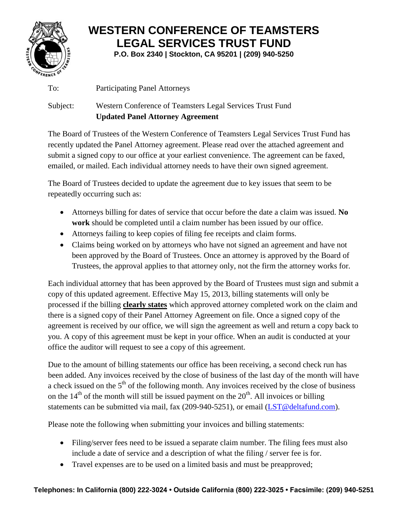

## **WESTERN CONFERENCE OF TEAMSTERS LEGAL SERVICES TRUST FUND**

**P.O. Box 2340 | Stockton, CA 95201 | (209) 940-5250**

To: Participating Panel Attorneys

## Subject: Western Conference of Teamsters Legal Services Trust Fund **Updated Panel Attorney Agreement**

The Board of Trustees of the Western Conference of Teamsters Legal Services Trust Fund has recently updated the Panel Attorney agreement. Please read over the attached agreement and submit a signed copy to our office at your earliest convenience. The agreement can be faxed, emailed, or mailed. Each individual attorney needs to have their own signed agreement.

The Board of Trustees decided to update the agreement due to key issues that seem to be repeatedly occurring such as:

- Attorneys billing for dates of service that occur before the date a claim was issued. **No work** should be completed until a claim number has been issued by our office.
- Attorneys failing to keep copies of filing fee receipts and claim forms.
- Claims being worked on by attorneys who have not signed an agreement and have not been approved by the Board of Trustees. Once an attorney is approved by the Board of Trustees, the approval applies to that attorney only, not the firm the attorney works for.

Each individual attorney that has been approved by the Board of Trustees must sign and submit a copy of this updated agreement. Effective May 15, 2013, billing statements will only be processed if the billing **clearly states** which approved attorney completed work on the claim and there is a signed copy of their Panel Attorney Agreement on file. Once a signed copy of the agreement is received by our office, we will sign the agreement as well and return a copy back to you. A copy of this agreement must be kept in your office. When an audit is conducted at your office the auditor will request to see a copy of this agreement.

Due to the amount of billing statements our office has been receiving, a second check run has been added. Any invoices received by the close of business of the last day of the month will have a check issued on the  $5<sup>th</sup>$  of the following month. Any invoices received by the close of business on the  $14<sup>th</sup>$  of the month will still be issued payment on the  $20<sup>th</sup>$ . All invoices or billing statements can be submitted via mail, fax (209-940-5251), or email [\(LST@deltafund.com\)](mailto:LST@deltafund.com).

Please note the following when submitting your invoices and billing statements:

- Filing/server fees need to be issued a separate claim number. The filing fees must also include a date of service and a description of what the filing / server fee is for.
- Travel expenses are to be used on a limited basis and must be preapproved;